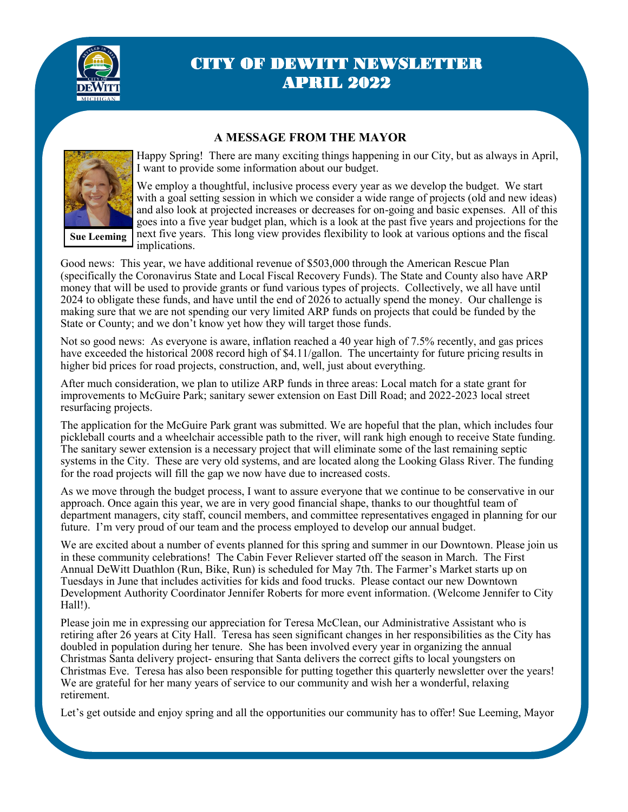

# CITY OF DEWITT NEWSLETTER APRIL 2022

#### **A MESSAGE FROM THE MAYOR**



Happy Spring! There are many exciting things happening in our City, but as always in April, I want to provide some information about our budget.

We employ a thoughtful, inclusive process every year as we develop the budget. We start with a goal setting session in which we consider a wide range of projects (old and new ideas) and also look at projected increases or decreases for on-going and basic expenses. All of this goes into a five year budget plan, which is a look at the past five years and projections for the next five years. This long view provides flexibility to look at various options and the fiscal implications.

**Sue Leeming**

Good news: This year, we have additional revenue of \$503,000 through the American Rescue Plan (specifically the Coronavirus State and Local Fiscal Recovery Funds). The State and County also have ARP money that will be used to provide grants or fund various types of projects. Collectively, we all have until 2024 to obligate these funds, and have until the end of  $2026$  to actually spend the money. Our challenge is making sure that we are not spending our very limited ARP funds on projects that could be funded by the State or County; and we don't know yet how they will target those funds.

Not so good news: As everyone is aware, inflation reached a 40 year high of 7.5% recently, and gas prices have exceeded the historical 2008 record high of \$4.11/gallon. The uncertainty for future pricing results in higher bid prices for road projects, construction, and, well, just about everything.

After much consideration, we plan to utilize ARP funds in three areas: Local match for a state grant for improvements to McGuire Park; sanitary sewer extension on East Dill Road; and 2022-2023 local street resurfacing projects.

The application for the McGuire Park grant was submitted. We are hopeful that the plan, which includes four pickleball courts and a wheelchair accessible path to the river, will rank high enough to receive State funding. The sanitary sewer extension is a necessary project that will eliminate some of the last remaining septic systems in the City. These are very old systems, and are located along the Looking Glass River. The funding for the road projects will fill the gap we now have due to increased costs.

As we move through the budget process, I want to assure everyone that we continue to be conservative in our approach. Once again this year, we are in very good financial shape, thanks to our thoughtful team of department managers, city staff, council members, and committee representatives engaged in planning for our future. I'm very proud of our team and the process employed to develop our annual budget.

We are excited about a number of events planned for this spring and summer in our Downtown. Please join us in these community celebrations! The Cabin Fever Reliever started off the season in March. The First Annual DeWitt Duathlon (Run, Bike, Run) is scheduled for May 7th. The Farmer's Market starts up on Tuesdays in June that includes activities for kids and food trucks. Please contact our new Downtown Development Authority Coordinator Jennifer Roberts for more event information. (Welcome Jennifer to City Hall!).

Please join me in expressing our appreciation for Teresa McClean, our Administrative Assistant who is retiring after 26 years at City Hall. Teresa has seen significant changes in her responsibilities as the City has doubled in population during her tenure. She has been involved every year in organizing the annual Christmas Santa delivery project- ensuring that Santa delivers the correct gifts to local youngsters on Christmas Eve. Teresa has also been responsible for putting together this quarterly newsletter over the years! We are grateful for her many years of service to our community and wish her a wonderful, relaxing retirement.

Let's get outside and enjoy spring and all the opportunities our community has to offer! Sue Leeming, Mayor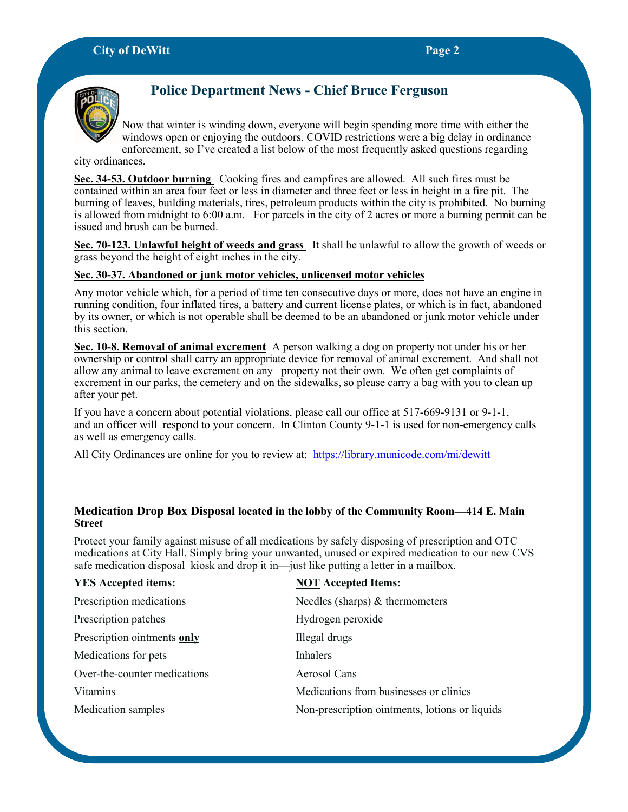

# **Police Department News - Chief Bruce Ferguson**

Now that winter is winding down, everyone will begin spending more time with either the windows open or enjoying the outdoors. COVID restrictions were a big delay in ordinance enforcement, so I've created a list below of the most frequently asked questions regarding

city ordinances.

**Sec. 34-53. Outdoor burning** Cooking fires and campfires are allowed. All such fires must be contained within an area four feet or less in diameter and three feet or less in height in a fire pit. The burning of leaves, building materials, tires, petroleum products within the city is prohibited. No burning is allowed from midnight to 6:00 a.m. For parcels in the city of 2 acres or more a burning permit can be issued and brush can be burned.

**Sec. 70-123. Unlawful height of weeds and grass** It shall be unlawful to allow the growth of weeds or grass beyond the height of eight inches in the city.

#### **Sec. 30-37. Abandoned or junk motor vehicles, unlicensed motor vehicles**

Any motor vehicle which, for a period of time ten consecutive days or more, does not have an engine in running condition, four inflated tires, a battery and current license plates, or which is in fact, abandoned by its owner, or which is not operable shall be deemed to be an abandoned or junk motor vehicle under this section.

**Sec. 10-8. Removal of animal excrement** A person walking a dog on property not under his or her ownership or control shall carry an appropriate device for removal of animal excrement. And shall not allow any animal to leave excrement on any property not their own. We often get complaints of excrement in our parks, the cemetery and on the sidewalks, so please carry a bag with you to clean up after your pet.

If you have a concern about potential violations, please call our office at 517-669-9131 or 9-1-1, and an officer will respond to your concern. In Clinton County 9-1-1 is used for non-emergency calls as well as emergency calls.

All City Ordinances are online for you to review at: <https://library.municode.com/mi/dewitt>

#### **Medication Drop Box Disposal located in the lobby of the Community Room—414 E. Main Street**

Protect your family against misuse of all medications by safely disposing of prescription and OTC medications at City Hall. Simply bring your unwanted, unused or expired medication to our new CVS safe medication disposal kiosk and drop it in—just like putting a letter in a mailbox.

| <b>YES Accepted items:</b>   | <b>NOT</b> Accepted Items:                     |
|------------------------------|------------------------------------------------|
| Prescription medications     | Needles (sharps) & thermometers                |
| Prescription patches         | Hydrogen peroxide                              |
| Prescription ointments only  | Illegal drugs                                  |
| Medications for pets         | Inhalers                                       |
| Over-the-counter medications | Aerosol Cans                                   |
| <b>Vitamins</b>              | Medications from businesses or clinics         |
| Medication samples           | Non-prescription ointments, lotions or liquids |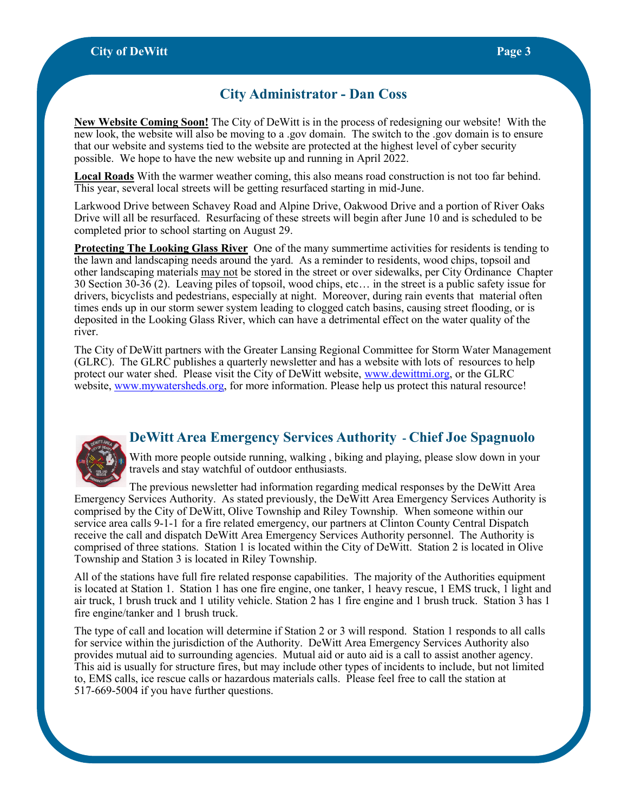# **City Administrator - Dan Coss**

**New Website Coming Soon!** The City of DeWitt is in the process of redesigning our website! With the new look, the website will also be moving to a .gov domain. The switch to the .gov domain is to ensure that our website and systems tied to the website are protected at the highest level of cyber security possible. We hope to have the new website up and running in April 2022.

**Local Roads** With the warmer weather coming, this also means road construction is not too far behind. This year, several local streets will be getting resurfaced starting in mid-June.

Larkwood Drive between Schavey Road and Alpine Drive, Oakwood Drive and a portion of River Oaks Drive will all be resurfaced. Resurfacing of these streets will begin after June 10 and is scheduled to be completed prior to school starting on August 29.

**Protecting The Looking Glass River** One of the many summertime activities for residents is tending to the lawn and landscaping needs around the yard. As a reminder to residents, wood chips, topsoil and other landscaping materials may not be stored in the street or over sidewalks, per City Ordinance Chapter 30 Section 30-36 (2). Leaving piles of topsoil, wood chips, etc… in the street is a public safety issue for drivers, bicyclists and pedestrians, especially at night. Moreover, during rain events that material often times ends up in our storm sewer system leading to clogged catch basins, causing street flooding, or is deposited in the Looking Glass River, which can have a detrimental effect on the water quality of the river.

The City of DeWitt partners with the Greater Lansing Regional Committee for Storm Water Management (GLRC). The GLRC publishes a quarterly newsletter and has a website with lots of resources to help protect our water shed. Please visit the City of DeWitt website, [www.dewittmi.org,](http://www.dewittmi.org) or the GLRC website, [www.mywatersheds.org,](http://www.mywatersheds.org) for more information. Please help us protect this natural resource!



## **DeWitt Area Emergency Services Authority - Chief Joe Spagnuolo**

With more people outside running, walking , biking and playing, please slow down in your travels and stay watchful of outdoor enthusiasts.

The previous newsletter had information regarding medical responses by the DeWitt Area Emergency Services Authority. As stated previously, the DeWitt Area Emergency Services Authority is comprised by the City of DeWitt, Olive Township and Riley Township. When someone within our service area calls 9-1-1 for a fire related emergency, our partners at Clinton County Central Dispatch receive the call and dispatch DeWitt Area Emergency Services Authority personnel. The Authority is comprised of three stations. Station 1 is located within the City of DeWitt. Station 2 is located in Olive Township and Station 3 is located in Riley Township.

All of the stations have full fire related response capabilities. The majority of the Authorities equipment is located at Station 1. Station 1 has one fire engine, one tanker, 1 heavy rescue, 1 EMS truck, 1 light and air truck, 1 brush truck and 1 utility vehicle. Station 2 has 1 fire engine and 1 brush truck. Station 3 has 1 fire engine/tanker and 1 brush truck.

The type of call and location will determine if Station 2 or 3 will respond. Station 1 responds to all calls for service within the jurisdiction of the Authority. DeWitt Area Emergency Services Authority also provides mutual aid to surrounding agencies. Mutual aid or auto aid is a call to assist another agency. This aid is usually for structure fires, but may include other types of incidents to include, but not limited to, EMS calls, ice rescue calls or hazardous materials calls. Please feel free to call the station at 517-669-5004 if you have further questions.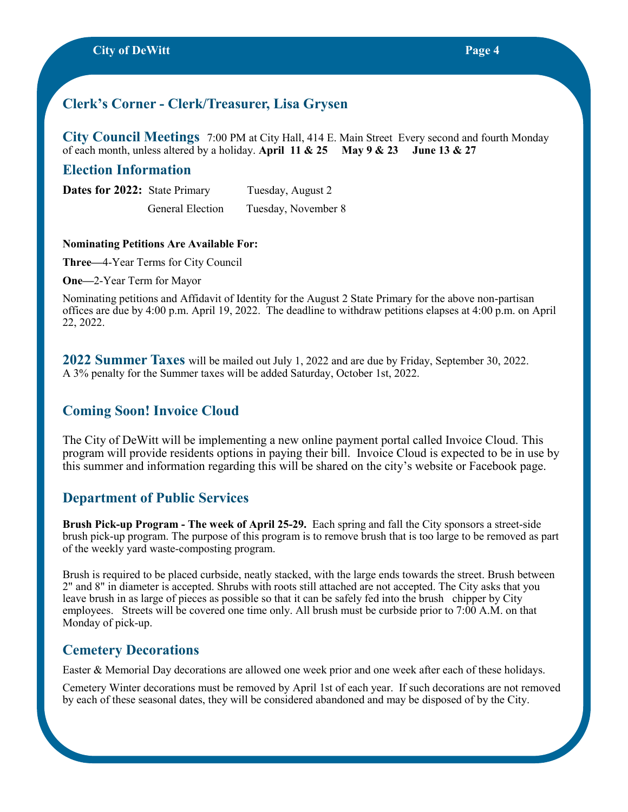# **Clerk's Corner - Clerk/Treasurer, Lisa Grysen**

**City Council Meetings** 7:00 PM at City Hall, 414 E. Main Street Every second and fourth Monday of each month, unless altered by a holiday. **April 11 & 25 May 9 & 23 June 13 & 27**

#### **Election Information**

**Dates for 2022:** State Primary Tuesday, August 2 General Election Tuesday, November 8

#### **Nominating Petitions Are Available For:**

**Three—**4-Year Terms for City Council

**One—**2-Year Term for Mayor

Nominating petitions and Affidavit of Identity for the August 2 State Primary for the above non-partisan offices are due by 4:00 p.m. April 19, 2022. The deadline to withdraw petitions elapses at 4:00 p.m. on April 22, 2022.

**2022 Summer Taxes** will be mailed out July 1, 2022 and are due by Friday, September 30, 2022. A 3% penalty for the Summer taxes will be added Saturday, October 1st, 2022.

## **Coming Soon! Invoice Cloud**

The City of DeWitt will be implementing a new online payment portal called Invoice Cloud. This program will provide residents options in paying their bill. Invoice Cloud is expected to be in use by this summer and information regarding this will be shared on the city's website or Facebook page.

## **Department of Public Services**

**Brush Pick-up Program - The week of April 25-29.** Each spring and fall the City sponsors a street-side brush pick-up program. The purpose of this program is to remove brush that is too large to be removed as part of the weekly yard waste-[composting program.](/CityServices/RecyclingRefuse.aspx)

Brush is required to be placed curbside, neatly stacked, with the large ends towards the street. Brush between 2" and 8" in diameter is accepted. Shrubs with roots still attached are not accepted. The City asks that you leave brush in as large of pieces as possible so that it can be safely fed into the brush chipper by City employees. Streets will be covered one time only. All brush must be curbside prior to 7:00 A.M. on that Monday of pick-up.

#### **Cemetery Decorations**

Easter & Memorial Day decorations are allowed one week prior and one week after each of these holidays.

Cemetery Winter decorations must be removed by April 1st of each year. If such decorations are not removed by each of these seasonal dates, they will be considered abandoned and may be disposed of by the City.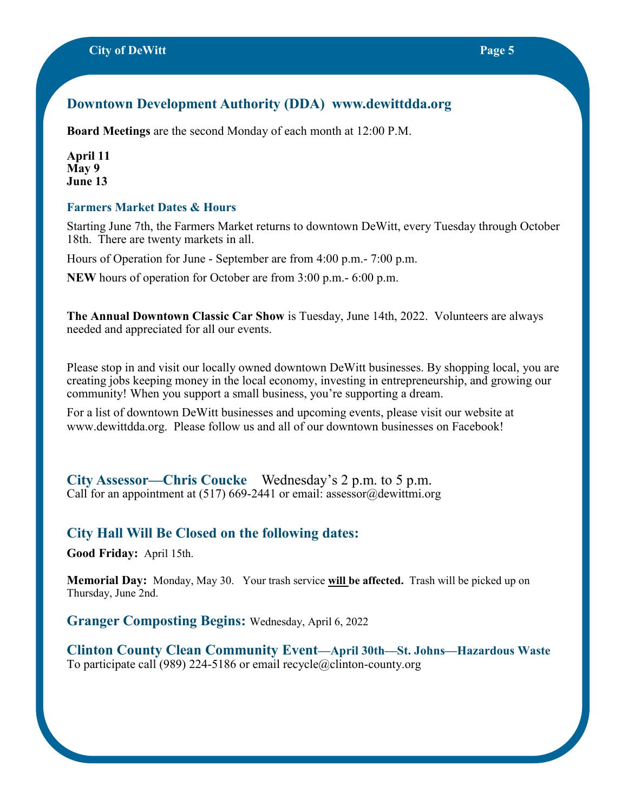## **Downtown Development Authority (DDA) www.dewittdda.org**

**Board Meetings** are the second Monday of each month at 12:00 P.M.

**April 11 May 9 June 13** 

#### **Farmers Market Dates & Hours**

Starting June 7th, the Farmers Market returns to downtown DeWitt, every Tuesday through October 18th. There are twenty markets in all.

Hours of Operation for June - September are from 4:00 p.m.- 7:00 p.m.

**NEW** hours of operation for October are from 3:00 p.m.- 6:00 p.m.

**The Annual Downtown Classic Car Show** is Tuesday, June 14th, 2022. Volunteers are always needed and appreciated for all our events.

Please stop in and visit our locally owned downtown DeWitt businesses. By shopping local, you are creating jobs keeping money in the local economy, investing in entrepreneurship, and growing our community! When you support a small business, you're supporting a dream.

For a list of downtown DeWitt businesses and upcoming events, please visit our website at www.dewittdda.org. Please follow us and all of our downtown businesses on Facebook!

**City Assessor—Chris Coucke** Wednesday's 2 p.m. to 5 p.m. Call for an appointment at (517) 669-2441 or email: assessor@dewittmi.org

## **City Hall Will Be Closed on the following dates:**

**Good Friday:** April 15th.

**Memorial Day:** Monday, May 30. Your trash service **will be affected.** Trash will be picked up on Thursday, June 2nd.

**Granger Composting Begins:** Wednesday, April 6, 2022

**Clinton County Clean Community Event—April 30th—St. Johns—Hazardous Waste** To participate call (989) 224-5186 or email recycle@clinton-county.org